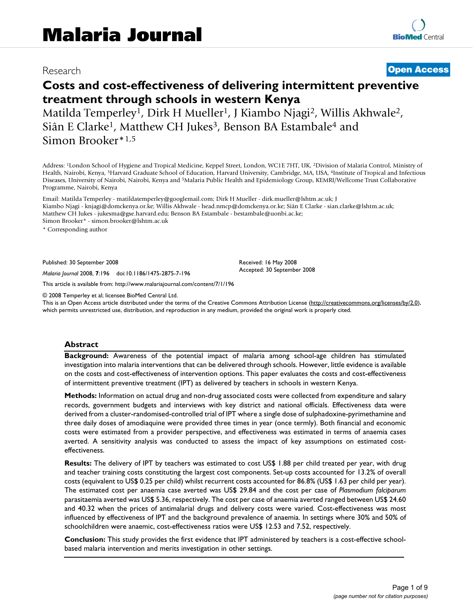# Research **[Open Access](http://www.biomedcentral.com/info/about/charter/)**

# **Costs and cost-effectiveness of delivering intermittent preventive treatment through schools in western Kenya**

Matilda Temperley<sup>1</sup>, Dirk H Mueller<sup>1</sup>, J Kiambo Njagi<sup>2</sup>, Willis Akhwale<sup>2</sup>, Siân E Clarke<sup>1</sup>, Matthew CH Jukes<sup>3</sup>, Benson BA Estambale<sup>4</sup> and Simon Brooker\*1,5

Address: 1London School of Hygiene and Tropical Medicine, Keppel Street, London, WC1E 7HT, UK, 2Division of Malaria Control, Ministry of Health, Nairobi, Kenya, <sup>3</sup>Harvard Graduate School of Education, Harvard University, Cambridge, MA, USA, <sup>4</sup>Institute of Tropical and Infectious Diseases, University of Nairobi, Nairobi, Kenya and 5Malaria Public Health and Epidemiology Group, KEMRI/Wellcome Trust Collaborative Programme, Nairobi, Kenya

Email: Matilda Temperley - matildatemperley@googlemail.com; Dirk H Mueller - dirk.mueller@lshtm.ac.uk; J Kiambo Njagi - knjagi@domckenya.or.ke; Willis Akhwale - head.nmcp@domckenya.or.ke; Siân E Clarke - sian.clarke@lshtm.ac.uk; Matthew CH Jukes - jukesma@gse.harvard.edu; Benson BA Estambale - bestambale@uonbi.ac.ke; Simon Brooker\* - simon.brooker@lshtm.ac.uk

\* Corresponding author

Published: 30 September 2008

*Malaria Journal* 2008, **7**:196 doi:10.1186/1475-2875-7-196

[This article is available from: http://www.malariajournal.com/content/7/1/196](http://www.malariajournal.com/content/7/1/196)

© 2008 Temperley et al; licensee BioMed Central Ltd.

This is an Open Access article distributed under the terms of the Creative Commons Attribution License [\(http://creativecommons.org/licenses/by/2.0\)](http://creativecommons.org/licenses/by/2.0), which permits unrestricted use, distribution, and reproduction in any medium, provided the original work is properly cited.

Received: 16 May 2008 Accepted: 30 September 2008

#### **Abstract**

**Background:** Awareness of the potential impact of malaria among school-age children has stimulated investigation into malaria interventions that can be delivered through schools. However, little evidence is available on the costs and cost-effectiveness of intervention options. This paper evaluates the costs and cost-effectiveness of intermittent preventive treatment (IPT) as delivered by teachers in schools in western Kenya.

**Methods:** Information on actual drug and non-drug associated costs were collected from expenditure and salary records, government budgets and interviews with key district and national officials. Effectiveness data were derived from a cluster-randomised-controlled trial of IPT where a single dose of sulphadoxine-pyrimethamine and three daily doses of amodiaquine were provided three times in year (once termly). Both financial and economic costs were estimated from a provider perspective, and effectiveness was estimated in terms of anaemia cases averted. A sensitivity analysis was conducted to assess the impact of key assumptions on estimated costeffectiveness.

**Results:** The delivery of IPT by teachers was estimated to cost US\$ 1.88 per child treated per year, with drug and teacher training costs constituting the largest cost components. Set-up costs accounted for 13.2% of overall costs (equivalent to US\$ 0.25 per child) whilst recurrent costs accounted for 86.8% (US\$ 1.63 per child per year). The estimated cost per anaemia case averted was US\$ 29.84 and the cost per case of *Plasmodium falciparum* parasitaemia averted was US\$ 5.36, respectively. The cost per case of anaemia averted ranged between US\$ 24.60 and 40.32 when the prices of antimalarial drugs and delivery costs were varied. Cost-effectiveness was most influenced by effectiveness of IPT and the background prevalence of anaemia. In settings where 30% and 50% of schoolchildren were anaemic, cost-effectiveness ratios were US\$ 12.53 and 7.52, respectively.

**Conclusion:** This study provides the first evidence that IPT administered by teachers is a cost-effective schoolbased malaria intervention and merits investigation in other settings.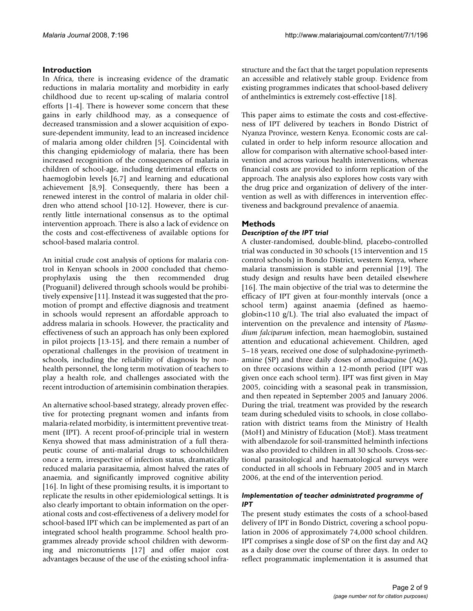# **Introduction**

In Africa, there is increasing evidence of the dramatic reductions in malaria mortality and morbidity in early childhood due to recent up-scaling of malaria control efforts [1-4]. There is however some concern that these gains in early childhood may, as a consequence of decreased transmission and a slower acquisition of exposure-dependent immunity, lead to an increased incidence of malaria among older children [5]. Coincidental with this changing epidemiology of malaria, there has been increased recognition of the consequences of malaria in children of school-age, including detrimental effects on haemoglobin levels [[6](#page-8-0),7] and learning and educational achievement [\[8](#page-8-1),9]. Consequently, there has been a renewed interest in the control of malaria in older children who attend school [10-12]. However, there is currently little international consensus as to the optimal intervention approach. There is also a lack of evidence on the costs and cost-effectiveness of available options for school-based malaria control.

An initial crude cost analysis of options for malaria control in Kenyan schools in 2000 concluded that chemoprophylaxis using the then recommended drug (Proguanil) delivered through schools would be prohibitively expensive [11]. Instead it was suggested that the promotion of prompt and effective diagnosis and treatment in schools would represent an affordable approach to address malaria in schools. However, the practicality and effectiveness of such an approach has only been explored in pilot projects [13-15], and there remain a number of operational challenges in the provision of treatment in schools, including the reliability of diagnosis by nonhealth personnel, the long term motivation of teachers to play a health role, and challenges associated with the recent introduction of artemisinin combination therapies.

An alternative school-based strategy, already proven effective for protecting pregnant women and infants from malaria-related morbidity, is intermittent preventive treatment (IPT). A recent proof-of-principle trial in western Kenya showed that mass administration of a full therapeutic course of anti-malarial drugs to schoolchildren once a term, irrespective of infection status, dramatically reduced malaria parasitaemia, almost halved the rates of anaemia, and significantly improved cognitive ability [16]. In light of these promising results, it is important to replicate the results in other epidemiological settings. It is also clearly important to obtain information on the operational costs and cost-effectiveness of a delivery model for school-based IPT which can be implemented as part of an integrated school health programme. School health programmes already provide school children with deworming and micronutrients [17] and offer major cost advantages because of the use of the existing school infrastructure and the fact that the target population represents an accessible and relatively stable group. Evidence from existing programmes indicates that school-based delivery of anthelmintics is extremely cost-effective [18].

This paper aims to estimate the costs and cost-effectiveness of IPT delivered by teachers in Bondo District of Nyanza Province, western Kenya. Economic costs are calculated in order to help inform resource allocation and allow for comparison with alternative school-based intervention and across various health interventions, whereas financial costs are provided to inform replication of the approach. The analysis also explores how costs vary with the drug price and organization of delivery of the intervention as well as with differences in intervention effectiveness and background prevalence of anaemia.

# **Methods**

#### *Description of the IPT trial*

A cluster-randomised, double-blind, placebo-controlled trial was conducted in 30 schools (15 intervention and 15 control schools) in Bondo District, western Kenya, where malaria transmission is stable and perennial [19]. The study design and results have been detailed elsewhere [16]. The main objective of the trial was to determine the efficacy of IPT given at four-monthly intervals (once a school term) against anaemia (defined as haemoglobin<110  $g/L$ ). The trial also evaluated the impact of intervention on the prevalence and intensity of *Plasmodium falciparum* infection, mean haemoglobin, sustained attention and educational achievement. Children, aged 5–18 years, received one dose of sulphadoxine-pyrimethamine (SP) and three daily doses of amodiaquine (AQ), on three occasions within a 12-month period (IPT was given once each school term). IPT was first given in May 2005, coinciding with a seasonal peak in transmission, and then repeated in September 2005 and January 2006. During the trial, treatment was provided by the research team during scheduled visits to schools, in close collaboration with district teams from the Ministry of Health (MoH) and Ministry of Education (MoE). Mass treatment with albendazole for soil-transmitted helminth infections was also provided to children in all 30 schools. Cross-sectional parasitological and haematological surveys were conducted in all schools in February 2005 and in March 2006, at the end of the intervention period.

#### *Implementation of teacher administrated programme of IPT*

The present study estimates the costs of a school-based delivery of IPT in Bondo District, covering a school population in 2006 of approximately 74,000 school children. IPT comprises a single dose of SP on the first day and AQ as a daily dose over the course of three days. In order to reflect programmatic implementation it is assumed that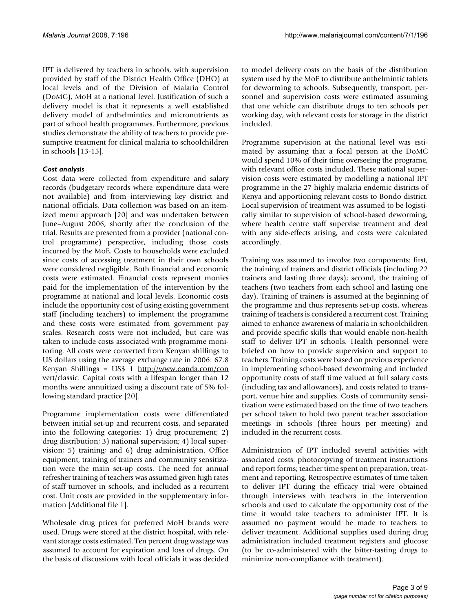IPT is delivered by teachers in schools, with supervision provided by staff of the District Health Office (DHO) at local levels and of the Division of Malaria Control (DoMC), MoH at a national level. Justification of such a delivery model is that it represents a well established delivery model of anthelmintics and micronutrients as part of school health programmes. Furthermore, previous studies demonstrate the ability of teachers to provide presumptive treatment for clinical malaria to schoolchildren in schools [13-15].

### *Cost analysis*

Cost data were collected from expenditure and salary records (budgetary records where expenditure data were not available) and from interviewing key district and national officials. Data collection was based on an itemized menu approach [20] and was undertaken between June–August 2006, shortly after the conclusion of the trial. Results are presented from a provider (national control programme) perspective, including those costs incurred by the MoE. Costs to households were excluded since costs of accessing treatment in their own schools were considered negligible. Both financial and economic costs were estimated. Financial costs represent monies paid for the implementation of the intervention by the programme at national and local levels. Economic costs include the opportunity cost of using existing government staff (including teachers) to implement the programme and these costs were estimated from government pay scales. Research costs were not included, but care was taken to include costs associated with programme monitoring. All costs were converted from Kenyan shillings to US dollars using the average exchange rate in 2006: 67.8 Kenyan Shillings = US\$ 1 [http://www.oanda.com/con](http://www.oanda.com/convert/classic) [vert/classic.](http://www.oanda.com/convert/classic) Capital costs with a lifespan longer than 12 months were annuitized using a discount rate of 5% following standard practice [20].

Programme implementation costs were differentiated between initial set-up and recurrent costs, and separated into the following categories: 1) drug procurement; 2) drug distribution; 3) national supervision; 4) local supervision; 5) training; and 6) drug administration. Office equipment, training of trainers and community sensitization were the main set-up costs. The need for annual refresher training of teachers was assumed given high rates of staff turnover in schools, and included as a recurrent cost. Unit costs are provided in the supplementary information [Additional file 1].

Wholesale drug prices for preferred MoH brands were used. Drugs were stored at the district hospital, with relevant storage costs estimated. Ten percent drug wastage was assumed to account for expiration and loss of drugs. On the basis of discussions with local officials it was decided

to model delivery costs on the basis of the distribution system used by the MoE to distribute anthelmintic tablets for deworming to schools. Subsequently, transport, personnel and supervision costs were estimated assuming that one vehicle can distribute drugs to ten schools per working day, with relevant costs for storage in the district included.

Programme supervision at the national level was estimated by assuming that a focal person at the DoMC would spend 10% of their time overseeing the programe, with relevant office costs included. These national supervision costs were estimated by modelling a national IPT programme in the 27 highly malaria endemic districts of Kenya and apportioning relevant costs to Bondo district. Local supervision of treatment was assumed to be logistically similar to supervision of school-based deworming, where health centre staff supervise treatment and deal with any side-effects arising, and costs were calculated accordingly.

Training was assumed to involve two components: first, the training of trainers and district officials (including 22 trainers and lasting three days); second, the training of teachers (two teachers from each school and lasting one day). Training of trainers is assumed at the beginning of the programme and thus represents set-up costs, whereas training of teachers is considered a recurrent cost. Training aimed to enhance awareness of malaria in schoolchildren and provide specific skills that would enable non-health staff to deliver IPT in schools. Health personnel were briefed on how to provide supervision and support to teachers. Training costs were based on previous experience in implementing school-based deworming and included opportunity costs of staff time valued at full salary costs (including tax and allowances), and costs related to transport, venue hire and supplies. Costs of community sensitization were estimated based on the time of two teachers per school taken to hold two parent teacher association meetings in schools (three hours per meeting) and included in the recurrent costs.

Administration of IPT included several activities with associated costs: photocopying of treatment instructions and report forms; teacher time spent on preparation, treatment and reporting. Retrospective estimates of time taken to deliver IPT during the efficacy trial were obtained through interviews with teachers in the intervention schools and used to calculate the opportunity cost of the time it would take teachers to administer IPT. It is assumed no payment would be made to teachers to deliver treatment. Additional supplies used during drug administration included treatment registers and glucose (to be co-administered with the bitter-tasting drugs to minimize non-compliance with treatment).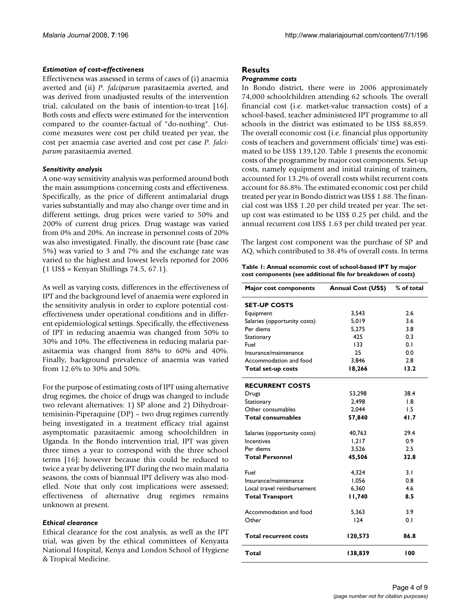#### *Estimation of cost-effectiveness*

Effectiveness was assessed in terms of cases of (i) anaemia averted and (ii) *P. falciparum* parasitaemia averted, and was derived from unadjusted results of the intervention trial, calculated on the basis of intention-to-treat [16]. Both costs and effects were estimated for the intervention compared to the counter-factual of "do-nothing". Outcome measures were cost per child treated per year, the cost per anaemia case averted and cost per case *P. falciparum* parasitaemia averted.

#### *Sensitivity analysis*

A one-way sensitivity analysis was performed around both the main assumptions concerning costs and effectiveness. Specifically, as the price of different antimalarial drugs varies substantially and may also change over time and in different settings, drug prices were varied to 50% and 200% of current drug prices. Drug wastage was varied from 0% and 20%. An increase in personnel costs of 20% was also investigated. Finally, the discount rate (base case 5%) was varied to 3 and 7% and the exchange rate was varied to the highest and lowest levels reported for 2006 (1 US\$ = Kenyan Shillings 74.5, 67.1).

As well as varying costs, differences in the effectiveness of IPT and the background level of anaemia were explored in the sensitivity analysis in order to explore potential costeffectiveness under operational conditions and in different epidemiological settings. Specifically, the effectiveness of IPT in reducing anaemia was changed from 50% to 30% and 10%. The effectiveness in reducing malaria parasitaemia was changed from 88% to 60% and 40%. Finally, background prevalence of anaemia was varied from 12.6% to 30% and 50%.

For the purpose of estimating costs of IPT using alternative drug regimes, the choice of drugs was changed to include two relevant alternatives: 1) SP alone and 2) Dihydroartemisinin-Piperaquine (DP) – two drug regimes currently being investigated in a treatment efficacy trial against asymptomatic parasitaemic among schoolchildren in Uganda. In the Bondo intervention trial, IPT was given three times a year to correspond with the three school terms [16]; however because this could be reduced to twice a year by delivering IPT during the two main malaria seasons, the costs of biannual IPT delivery was also modelled. Note that only cost implications were assessed; effectiveness of alternative drug regimes remains unknown at present.

### *Ethical clearance*

Ethical clearance for the cost analysis, as well as the IPT trial, was given by the ethical committees of Kenyatta National Hospital, Kenya and London School of Hygiene & Tropical Medicine.

# **Results**

#### *Programme costs*

In Bondo district, there were in 2006 approximately 74,000 schoolchildren attending 62 schools. The overall financial cost (i.e. market-value transaction costs) of a school-based, teacher administered IPT programme to all schools in the district was estimated to be US\$ 88,859. The overall economic cost (i.e. financial plus opportunity costs of teachers and government officials' time) was estimated to be US\$ 139,120. Table 1 presents the economic costs of the programme by major cost components. Set-up costs, namely equipment and initial training of trainers, accounted for 13.2% of overall costs whilst recurrent costs account for 86.8%. The estimated economic cost per child treated per year in Bondo district was US\$ 1.88. The financial cost was US\$ 1.20 per child treated per year. The setup cost was estimated to be US\$ 0.25 per child, and the annual recurrent cost US\$ 1.63 per child treated per year.

The largest cost component was the purchase of SP and AQ, which contributed to 38.4% of overall costs. In terms

**Table 1: Annual economic cost of school-based IPT by major cost components (see additional file for breakdown of costs)**

| Major cost components        | <b>Annual Cost (US\$)</b> | % of total |
|------------------------------|---------------------------|------------|
| <b>SET-UP COSTS</b>          |                           |            |
| Equipment                    | 3.543                     | 2.6        |
| Salaries (opportunity costs) | 5,019                     | 3.6        |
| Per diems                    | 5,275                     | 3.8        |
| Stationary                   | 425                       | 0.3        |
| Fuel                         | 133                       | 0.1        |
| Insurance/maintenance        | 25                        | 0.0        |
| Accommodation and food       | 3.846                     | 2.8        |
| Total set-up costs           | 18,266                    | 13.2       |
| <b>RECURRENT COSTS</b>       |                           |            |
| Drugs                        | 53,298                    | 38.4       |
| Stationary                   | 2.498                     | 1.8        |
| Other consumables            | 2.044                     | 1.5        |
| <b>Total consumables</b>     | 57,840                    | 41.7       |
| Salaries (opportunity costs) | 40,763                    | 29.4       |
| Incentives                   | 1,217                     | 0.9        |
| Per diems                    | 3,526                     | 2.5        |
| <b>Total Personnel</b>       | 45,506                    | 32.8       |
| Fuel                         | 4,324                     | 3.1        |
| Insurance/maintenance        | 1.056                     | 0.8        |
| Local travel reimbursement   | 6,360                     | 4.6        |
| <b>Total Transport</b>       | 11,740                    | 8.5        |
| Accommodation and food       | 5,363                     | 3.9        |
| Other                        | 124                       | 0.1        |
| <b>Total recurrent costs</b> | 120,573                   | 86.8       |
| Total                        | 138,839                   | 100        |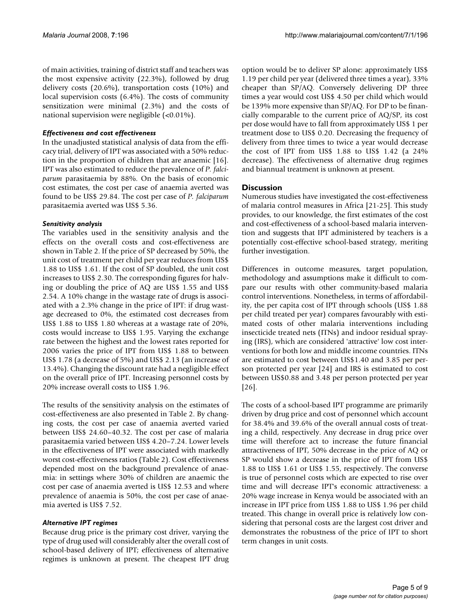of main activities, training of district staff and teachers was the most expensive activity (22.3%), followed by drug delivery costs (20.6%), transportation costs (10%) and local supervision costs (6.4%). The costs of community sensitization were minimal (2.3%) and the costs of national supervision were negligible (<0.01%).

#### *Effectiveness and cost effectiveness*

In the unadjusted statistical analysis of data from the efficacy trial, delivery of IPT was associated with a 50% reduction in the proportion of children that are anaemic [16]. IPT was also estimated to reduce the prevalence of *P. falciparum* parasitaemia by 88%. On the basis of economic cost estimates, the cost per case of anaemia averted was found to be US\$ 29.84. The cost per case of *P. falciparum* parasitaemia averted was US\$ 5.36.

### *Sensitivity analysis*

The variables used in the sensitivity analysis and the effects on the overall costs and cost-effectiveness are shown in Table 2. If the price of SP decreased by 50%, the unit cost of treatment per child per year reduces from US\$ 1.88 to US\$ 1.61. If the cost of SP doubled, the unit cost increases to US\$ 2.30. The corresponding figures for halving or doubling the price of AQ are US\$ 1.55 and US\$ 2.54. A 10% change in the wastage rate of drugs is associated with a 2.3% change in the price of IPT: if drug wastage decreased to 0%, the estimated cost decreases from US\$ 1.88 to US\$ 1.80 whereas at a wastage rate of 20%, costs would increase to US\$ 1.95. Varying the exchange rate between the highest and the lowest rates reported for 2006 varies the price of IPT from US\$ 1.88 to between US\$ 1.78 (a decrease of 5%) and US\$ 2.13 (an increase of 13.4%). Changing the discount rate had a negligible effect on the overall price of IPT. Increasing personnel costs by 20% increase overall costs to US\$ 1.96.

The results of the sensitivity analysis on the estimates of cost-effectiveness are also presented in Table 2. By changing costs, the cost per case of anaemia averted varied between US\$ 24.60–40.32. The cost per case of malaria parasitaemia varied between US\$ 4.20–7.24. Lower levels in the effectiveness of IPT were associated with markedly worst cost-effectiveness ratios (Table 2). Cost effectiveness depended most on the background prevalence of anaemia: in settings where 30% of children are anaemic the cost per case of anaemia averted is US\$ 12.53 and where prevalence of anaemia is 50%, the cost per case of anaemia averted is US\$ 7.52.

### *Alternative IPT regimes*

Because drug price is the primary cost driver, varying the type of drug used will considerably alter the overall cost of school-based delivery of IPT; effectiveness of alternative regimes is unknown at present. The cheapest IPT drug option would be to deliver SP alone: approximately US\$ 1.19 per child per year (delivered three times a year), 33% cheaper than SP/AQ. Conversely delivering DP three times a year would cost US\$ 4.50 per child which would be 139% more expensive than SP/AQ. For DP to be financially comparable to the current price of AQ/SP, its cost per dose would have to fall from approximately US\$ 1 per treatment dose to US\$ 0.20. Decreasing the frequency of delivery from three times to twice a year would decrease the cost of IPT from US\$ 1.88 to US\$ 1.42 (a 24% decrease). The effectiveness of alternative drug regimes and biannual treatment is unknown at present.

# **Discussion**

Numerous studies have investigated the cost-effectiveness of malaria control measures in Africa [21-25]. This study provides, to our knowledge, the first estimates of the cost and cost-effectiveness of a school-based malaria intervention and suggests that IPT administered by teachers is a potentially cost-effective school-based strategy, meriting further investigation.

Differences in outcome measures, target population, methodology and assumptions make it difficult to compare our results with other community-based malaria control interventions. Nonetheless, in terms of affordability, the per capita cost of IPT through schools (US\$ 1.88 per child treated per year) compares favourably with estimated costs of other malaria interventions including insecticide treated nets (ITNs) and indoor residual spraying (IRS), which are considered 'attractive' low cost interventions for both low and middle income countries. ITNs are estimated to cost between US\$1.40 and 3.85 per person protected per year [24] and IRS is estimated to cost between US\$0.88 and 3.48 per person protected per year [26].

The costs of a school-based IPT programme are primarily driven by drug price and cost of personnel which account for 38.4% and 39.6% of the overall annual costs of treating a child, respectively. Any decrease in drug price over time will therefore act to increase the future financial attractiveness of IPT, 50% decrease in the price of AQ or SP would show a decrease in the price of IPT from US\$ 1.88 to US\$ 1.61 or US\$ 1.55, respectively. The converse is true of personnel costs which are expected to rise over time and will decrease IPT's economic attractiveness: a 20% wage increase in Kenya would be associated with an increase in IPT price from US\$ 1.88 to US\$ 1.96 per child treated. This change in overall price is relatively low considering that personal costs are the largest cost driver and demonstrates the robustness of the price of IPT to short term changes in unit costs.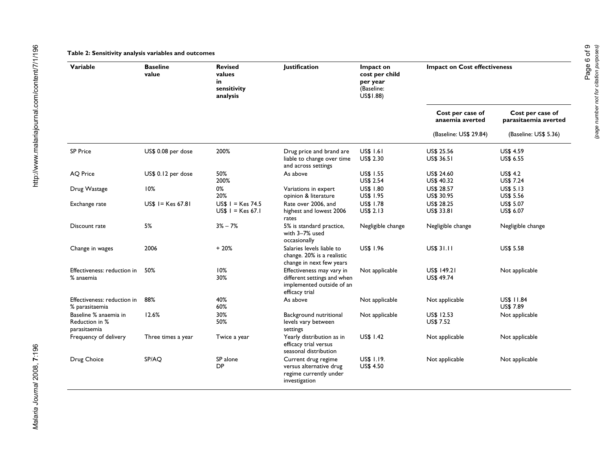#### **Table 2: Sensitivity analysis variables and outcomes**

| Variable                                                | <b>Baseline</b><br>value | <b>Revised</b><br>values<br>in<br>sensitivity<br>analysis | <b>Justification</b>                                                                                    | Impact on<br>cost per child<br>per year<br>(Baseline:<br>US\$1.88) | <b>Impact on Cost effectiveness</b> |                                          |
|---------------------------------------------------------|--------------------------|-----------------------------------------------------------|---------------------------------------------------------------------------------------------------------|--------------------------------------------------------------------|-------------------------------------|------------------------------------------|
|                                                         |                          |                                                           |                                                                                                         |                                                                    | Cost per case of<br>anaemia averted | Cost per case of<br>parasitaemia averted |
|                                                         |                          |                                                           |                                                                                                         |                                                                    | (Baseline: US\$ 29.84)              | (Baseline: US\$ 5.36)                    |
| <b>SP Price</b>                                         | US\$ 0.08 per dose       | 200%                                                      | Drug price and brand are<br>liable to change over time<br>and across settings                           | <b>US\$ 1.61</b><br>US\$ 2.30                                      | <b>US\$ 25.56</b><br>US\$ 36.51     | <b>US\$ 4.59</b><br>US\$ 6.55            |
| <b>AQ Price</b>                                         | US\$ 0.12 per dose       | 50%<br>200%                                               | As above                                                                                                | US\$ 1.55<br><b>US\$ 2.54</b>                                      | US\$ 24.60<br>US\$ 40.32            | <b>US\$ 4.2</b><br><b>US\$ 7.24</b>      |
| Drug Wastage                                            | 10%                      | 0%<br>20%                                                 | Variations in expert<br>opinion & literature                                                            | US\$ 1.80<br>US\$ 1.95                                             | <b>US\$ 28.57</b><br>US\$ 30.95     | <b>US\$ 5.13</b><br><b>US\$ 5.56</b>     |
| Exchange rate                                           | $US$$ I = Kes 67.81      | $US$ I = Kes 74.5$<br>$US$ I = Kes 67.1$                  | Rate over 2006, and<br>highest and lowest 2006<br>rates                                                 | US\$ 1.78<br>US\$ 2.13                                             | US\$ 28.25<br>US\$ 33.81            | <b>US\$ 5.07</b><br>US\$ 6.07            |
| Discount rate                                           | 5%                       | $3\% - 7\%$                                               | 5% is standard practice,<br>with 3-7% used<br>occasionally                                              | Negligible change                                                  | Negligible change                   | Negligible change                        |
| Change in wages                                         | 2006                     | $+20%$                                                    | Salaries levels liable to<br>change. 20% is a realistic<br>change in next few years                     | <b>US\$ 1.96</b>                                                   | US\$ 31.11                          | <b>US\$ 5.58</b>                         |
| Effectiveness: reduction in<br>% anaemia                | 50%                      | 10%<br>30%                                                | Effectiveness may vary in<br>different settings and when<br>implemented outside of an<br>efficacy trial | Not applicable                                                     | US\$ 149.21<br><b>US\$ 49.74</b>    | Not applicable                           |
| Effectiveness: reduction in<br>% parasitaemia           | 88%                      | 40%<br>60%                                                | As above                                                                                                | Not applicable                                                     | Not applicable                      | US\$ 11.84<br><b>US\$ 7.89</b>           |
| Baseline % anaemia in<br>Reduction in %<br>parasitaemia | 12.6%                    | 30%<br>50%                                                | Background nutritional<br>levels vary between<br>settings                                               | Not applicable                                                     | US\$ 12.53<br><b>US\$ 7.52</b>      | Not applicable                           |
| Frequency of delivery                                   | Three times a year       | Twice a year                                              | Yearly distribution as in<br>efficacy trial versus<br>seasonal distribution                             | US\$ 1.42                                                          | Not applicable                      | Not applicable                           |
| Drug Choice                                             | SP/AQ                    | SP alone<br>DP                                            | Current drug regime<br>versus alternative drug<br>regime currently under<br>investigation               | US\$ 1.19.<br><b>US\$ 4.50</b>                                     | Not applicable                      | Not applicable                           |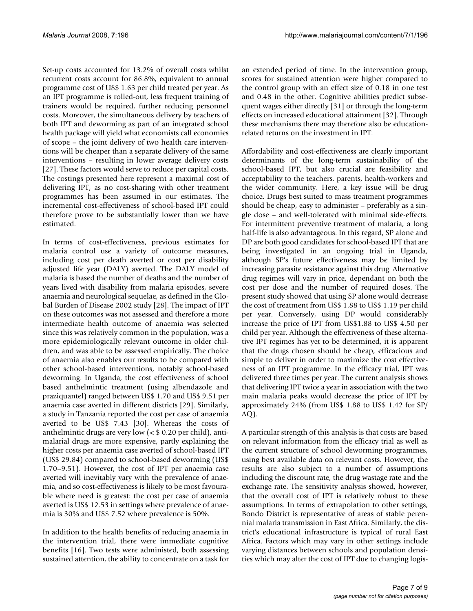Set-up costs accounted for 13.2% of overall costs whilst recurrent costs account for 86.8%, equivalent to annual programme cost of US\$ 1.63 per child treated per year. As an IPT programme is rolled-out, less frequent training of trainers would be required, further reducing personnel costs. Moreover, the simultaneous delivery by teachers of both IPT and deworming as part of an integrated school health package will yield what economists call economies of scope – the joint delivery of two health care interventions will be cheaper than a separate delivery of the same interventions – resulting in lower average delivery costs [27]. These factors would serve to reduce per capital costs. The costings presented here represent a maximal cost of delivering IPT, as no cost-sharing with other treatment programmes has been assumed in our estimates. The incremental cost-effectiveness of school-based IPT could therefore prove to be substantially lower than we have estimated.

In terms of cost-effectiveness, previous estimates for malaria control use a variety of outcome measures, including cost per death averted or cost per disability adjusted life year (DALY) averted. The DALY model of malaria is based the number of deaths and the number of years lived with disability from malaria episodes, severe anaemia and neurological sequelae, as defined in the Global Burden of Disease 2002 study [28]. The impact of IPT on these outcomes was not assessed and therefore a more intermediate health outcome of anaemia was selected since this was relatively common in the population, was a more epidemiologically relevant outcome in older children, and was able to be assessed empirically. The choice of anaemia also enables our results to be compared with other school-based interventions, notably school-based deworming. In Uganda, the cost effectiveness of school based anthelmintic treatment (using albendazole and praziquantel) ranged between US\$ 1.70 and US\$ 9.51 per anaemia case averted in different districts [29]. Similarly, a study in Tanzania reported the cost per case of anaemia averted to be US\$ 7.43 [30]. Whereas the costs of anthelmintic drugs are very low (< \$ 0.20 per child), antimalarial drugs are more expensive, partly explaining the higher costs per anaemia case averted of school-based IPT (US\$ 29.84) compared to school-based deworming (US\$ 1.70–9.51). However, the cost of IPT per anaemia case averted will inevitably vary with the prevalence of anaemia, and so cost-effectiveness is likely to be most favourable where need is greatest: the cost per case of anaemia averted is US\$ 12.53 in settings where prevalence of anaemia is 30% and US\$ 7.52 where prevalence is 50%.

In addition to the health benefits of reducing anaemia in the intervention trial, there were immediate cognitive benefits [16]. Two tests were administed, both assessing sustained attention, the ability to concentrate on a task for

an extended period of time. In the intervention group, scores for sustained attention were higher compared to the control group with an effect size of 0.18 in one test and 0.48 in the other. Cognitive abilities predict subsequent wages either directly [31] or through the long-term effects on increased educational attainment [32]. Through these mechanisms there may therefore also be educationrelated returns on the investment in IPT.

Affordability and cost-effectiveness are clearly important determinants of the long-term sustainability of the school-based IPT, but also crucial are feasibility and acceptability to the teachers, parents, health-workers and the wider community. Here, a key issue will be drug choice. Drugs best suited to mass treatment programmes should be cheap, easy to administer – preferably as a single dose – and well-tolerated with minimal side-effects. For intermittent preventive treatment of malaria, a long half-life is also advantageous. In this regard, SP alone and DP are both good candidates for school-based IPT that are being investigated in an ongoing trial in Uganda, although SP's future effectiveness may be limited by increasing parasite resistance against this drug. Alternative drug regimes will vary in price, dependant on both the cost per dose and the number of required doses. The present study showed that using SP alone would decrease the cost of treatment from US\$ 1.88 to US\$ 1.19 per child per year. Conversely, using DP would considerably increase the price of IPT from US\$1.88 to US\$ 4.50 per child per year. Although the effectiveness of these alternative IPT regimes has yet to be determined, it is apparent that the drugs chosen should be cheap, efficacious and simple to deliver in order to maximize the cost effectiveness of an IPT programme. In the efficacy trial, IPT was delivered three times per year. The current analysis shows that delivering IPT twice a year in association with the two main malaria peaks would decrease the price of IPT by approximately 24% (from US\$ 1.88 to US\$ 1.42 for SP/ AQ).

A particular strength of this analysis is that costs are based on relevant information from the efficacy trial as well as the current structure of school deworming programmes, using best available data on relevant costs. However, the results are also subject to a number of assumptions including the discount rate, the drug wastage rate and the exchange rate. The sensitivity analysis showed, however, that the overall cost of IPT is relatively robust to these assumptions. In terms of extrapolation to other settings, Bondo District is representative of areas of stable perennial malaria transmission in East Africa. Similarly, the district's educational infrastructure is typical of rural East Africa. Factors which may vary in other settings include varying distances between schools and population densities which may alter the cost of IPT due to changing logis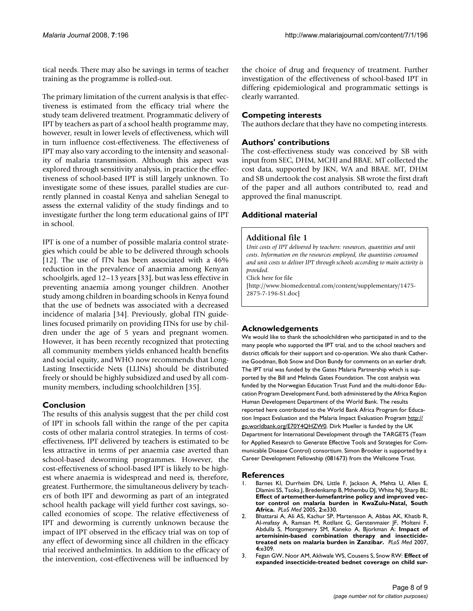tical needs. There may also be savings in terms of teacher training as the programme is rolled-out.

The primary limitation of the current analysis is that effectiveness is estimated from the efficacy trial where the study team delivered treatment. Programmatic delivery of IPT by teachers as part of a school health programme may, however, result in lower levels of effectiveness, which will in turn influence cost-effectiveness. The effectiveness of IPT may also vary according to the intensity and seasonality of malaria transmission. Although this aspect was explored through sensitivity analysis, in practice the effectiveness of school-based IPT is still largely unknown. To investigate some of these issues, parallel studies are currently planned in coastal Kenya and sahelian Senegal to assess the external validity of the study findings and to investigate further the long term educational gains of IPT in school.

IPT is one of a number of possible malaria control strategies which could be able to be delivered through schools [12]. The use of ITN has been associated with a 46% reduction in the prevalence of anaemia among Kenyan schoolgirls, aged 12–13 years [33], but was less effective in preventing anaemia among younger children. Another study among children in boarding schools in Kenya found that the use of bednets was associated with a decreased incidence of malaria [34]. Previously, global ITN guidelines focused primarily on providing ITNs for use by children under the age of 5 years and pregnant women. However, it has been recently recognized that protecting all community members yields enhanced health benefits and social equity, and WHO now recommends that Long-Lasting Insecticide Nets (LLINs) should be distributed freely or should be highly subsidized and used by all community members, including schoolchildren [35].

# **Conclusion**

The results of this analysis suggest that the per child cost of IPT in schools fall within the range of the per capita costs of other malaria control strategies. In terms of costeffectiveness, IPT delivered by teachers is estimated to be less attractive in terms of per anaemia case averted than school-based deworming programmes. However, the cost-effectiveness of school-based IPT is likely to be highest where anaemia is widespread and need is, therefore, greatest. Furthermore, the simultaneous delivery by teachers of both IPT and deworming as part of an integrated school health package will yield further cost savings, socalled economies of scope. The relative effectiveness of IPT and deworming is currently unknown because the impact of IPT observed in the efficacy trial was on top of any effect of deworming since all children in the efficacy trial received anthelmintics. In addition to the efficacy of the intervention, cost-effectiveness will be influenced by the choice of drug and frequency of treatment. Further investigation of the effectiveness of school-based IPT in differing epidemiological and programmatic settings is clearly warranted.

# **Competing interests**

The authors declare that they have no competing interests.

# **Authors' contributions**

The cost-effectiveness study was conceived by SB with input from SEC, DHM, MCHJ and BBAE. MT collected the cost data, supported by JKN, WA and BBAE. MT, DHM and SB undertook the cost analysis. SB wrote the first draft of the paper and all authors contributed to, read and approved the final manuscript.

# **Additional material**

### **Additional file 1**

*Unit costs of IPT delivered by teachers: resources, quantities and unit costs. Information on the resources employed, the quantities consumed and unit costs to deliver IPT through schools according to main activity is provided.*

Click here for file

[\[http://www.biomedcentral.com/content/supplementary/1475-](http://www.biomedcentral.com/content/supplementary/1475-2875-7-196-S1.doc) 2875-7-196-S1.doc]

# **Acknowledgements**

We would like to thank the schoolchildren who participated in and to the many people who supported the IPT trial, and to the school teachers and district officials for their support and co-operation. We also thank Catherine Goodman, Bob Snow and Don Bundy for comments on an earlier draft. The IPT trial was funded by the Gates Malaria Partnership which is supported by the Bill and Melinda Gates Foundation. The cost analysis was funded by the Norwegian Education Trust Fund and the multi-donor Education Program Development Fund, both administered by the Africa Region Human Development Department of the World Bank. The results reported here contributed to the World Bank Africa Program for Education Impact Evaluation and the Malaria Impact Evaluation Program [http://](http://go.worldbank.org/E70Y4QHZW0) [go.worldbank.org/E70Y4QHZW0.](http://go.worldbank.org/E70Y4QHZW0) Dirk Mueller is funded by the UK Department for International Development through the TARGETS (Team for Applied Research to Generate Effective Tools and Strategies for Communicable Disease Control) consortium. Simon Brooker is supported by a Career Development Fellowship (081673) from the Wellcome Trust.

#### **References**

- 1. Barnes KI, Durrheim DN, Little F, Jackson A, Mehta U, Allen E, Dlamini SS, Tsoka J, Bredenkamp B, Mthembu DJ, White NJ, Sharp BL: **[Effect of artemether-lumefantrine policy and improved vec](http://www.ncbi.nlm.nih.gov/entrez/query.fcgi?cmd=Retrieve&db=PubMed&dopt=Abstract&list_uids=16187798)tor control on malaria burden in KwaZulu-Natal, South [Africa.](http://www.ncbi.nlm.nih.gov/entrez/query.fcgi?cmd=Retrieve&db=PubMed&dopt=Abstract&list_uids=16187798)** *PLoS Med* 2005, **2:**e330.
- 2. Bhattarai A, Ali AS, Kachur SP, Martensson A, Abbas AK, Khatib R, Al-mafasy A, Ramsan M, Rotllant G, Gerstenmaier JF, Molteni F, Abdulla S, Montgomery SM, Kaneko A, Bjorkman A: **[Impact of](http://www.ncbi.nlm.nih.gov/entrez/query.fcgi?cmd=Retrieve&db=PubMed&dopt=Abstract&list_uids=17988171) [artemisinin-based combination therapy and insecticide](http://www.ncbi.nlm.nih.gov/entrez/query.fcgi?cmd=Retrieve&db=PubMed&dopt=Abstract&list_uids=17988171)[treated nets on malaria burden in Zanzibar.](http://www.ncbi.nlm.nih.gov/entrez/query.fcgi?cmd=Retrieve&db=PubMed&dopt=Abstract&list_uids=17988171)** *PLoS Med* 2007, **4:**e309.
- 3. Fegan GW, Noor AM, Akhwale WS, Cousens S, Snow RW: **[Effect of](http://www.ncbi.nlm.nih.gov/entrez/query.fcgi?cmd=Retrieve&db=PubMed&dopt=Abstract&list_uids=17889242) [expanded insecticide-treated bednet coverage on child sur](http://www.ncbi.nlm.nih.gov/entrez/query.fcgi?cmd=Retrieve&db=PubMed&dopt=Abstract&list_uids=17889242)-**